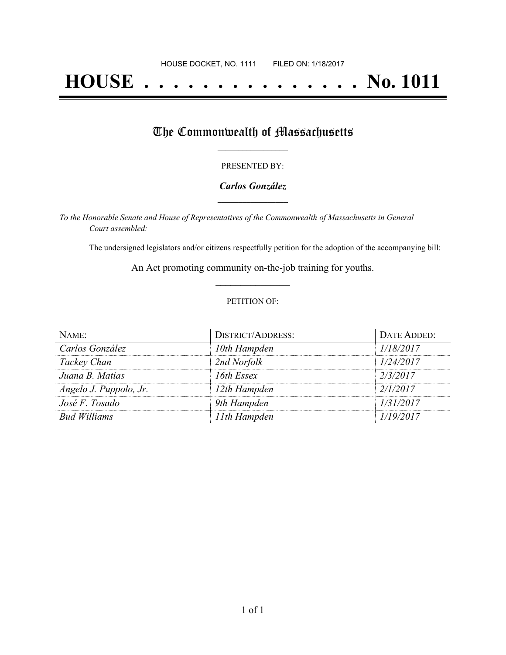# **HOUSE . . . . . . . . . . . . . . . No. 1011**

## The Commonwealth of Massachusetts

#### PRESENTED BY:

#### *Carlos González* **\_\_\_\_\_\_\_\_\_\_\_\_\_\_\_\_\_**

*To the Honorable Senate and House of Representatives of the Commonwealth of Massachusetts in General Court assembled:*

The undersigned legislators and/or citizens respectfully petition for the adoption of the accompanying bill:

An Act promoting community on-the-job training for youths. **\_\_\_\_\_\_\_\_\_\_\_\_\_\_\_**

#### PETITION OF:

| NAME:                  | <b>DISTRICT/ADDRESS:</b> | DATE ADDED: |
|------------------------|--------------------------|-------------|
| Carlos González        | 10th Hampden             | 1/18/2017   |
| Tackey Chan            | 2nd Norfolk              | 1/24/2017   |
| Juana B. Matias        | 16th Essex               | 2/3/2017    |
| Angelo J. Puppolo, Jr. | 12th Hampden             | 2/1/2017    |
| José F. Tosado         | 9th Hampden              | 1/31/2017   |
| <b>Bud Williams</b>    | 11th Hampden             | 1/19/2017   |